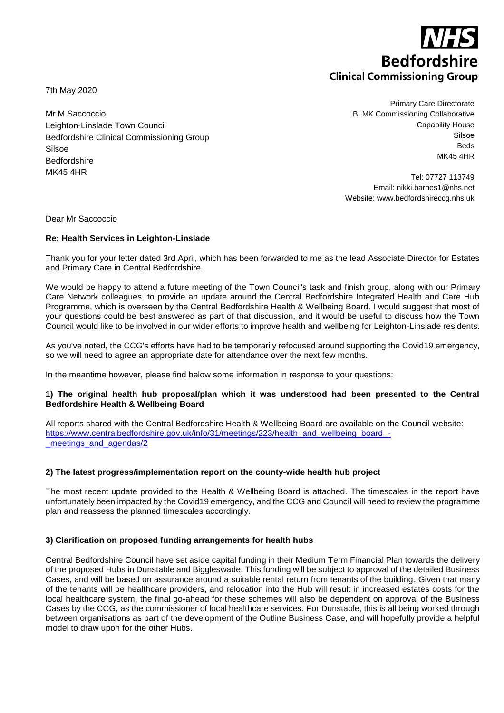**Bedfordshire Clinical Commissioning Group** 

7th May 2020

Mr M Saccoccio Leighton-Linslade Town Council Bedfordshire Clinical Commissioning Group Silsoe Bedfordshire MK45 4HR

Primary Care Directorate BLMK Commissioning Collaborative Capability House Silsoe Beds MK45 4HR

Tel: 07727 113749 Email: nikki.barnes1@nhs.net Website: www.bedfordshireccg.nhs.uk

Dear Mr Saccoccio

## **Re: Health Services in Leighton-Linslade**

Thank you for your letter dated 3rd April, which has been forwarded to me as the lead Associate Director for Estates and Primary Care in Central Bedfordshire.

We would be happy to attend a future meeting of the Town Council's task and finish group, along with our Primary Care Network colleagues, to provide an update around the Central Bedfordshire Integrated Health and Care Hub Programme, which is overseen by the Central Bedfordshire Health & Wellbeing Board. I would suggest that most of your questions could be best answered as part of that discussion, and it would be useful to discuss how the Town Council would like to be involved in our wider efforts to improve health and wellbeing for Leighton-Linslade residents.

As you've noted, the CCG's efforts have had to be temporarily refocused around supporting the Covid19 emergency, so we will need to agree an appropriate date for attendance over the next few months.

In the meantime however, please find below some information in response to your questions:

#### **1) The original health hub proposal/plan which it was understood had been presented to the Central Bedfordshire Health & Wellbeing Board**

All reports shared with the Central Bedfordshire Health & Wellbeing Board are available on the Council website: [https://www.centralbedfordshire.gov.uk/info/31/meetings/223/health\\_and\\_wellbeing\\_board\\_](https://www.centralbedfordshire.gov.uk/info/31/meetings/223/health_and_wellbeing_board_-_meetings_and_agendas/2) meetings and agendas/2

## **2) The latest progress/implementation report on the county-wide health hub project**

The most recent update provided to the Health & Wellbeing Board is attached. The timescales in the report have unfortunately been impacted by the Covid19 emergency, and the CCG and Council will need to review the programme plan and reassess the planned timescales accordingly.

#### **3) Clarification on proposed funding arrangements for health hubs**

Central Bedfordshire Council have set aside capital funding in their Medium Term Financial Plan towards the delivery of the proposed Hubs in Dunstable and Biggleswade. This funding will be subject to approval of the detailed Business Cases, and will be based on assurance around a suitable rental return from tenants of the building. Given that many of the tenants will be healthcare providers, and relocation into the Hub will result in increased estates costs for the local healthcare system, the final go-ahead for these schemes will also be dependent on approval of the Business Cases by the CCG, as the commissioner of local healthcare services. For Dunstable, this is all being worked through between organisations as part of the development of the Outline Business Case, and will hopefully provide a helpful model to draw upon for the other Hubs.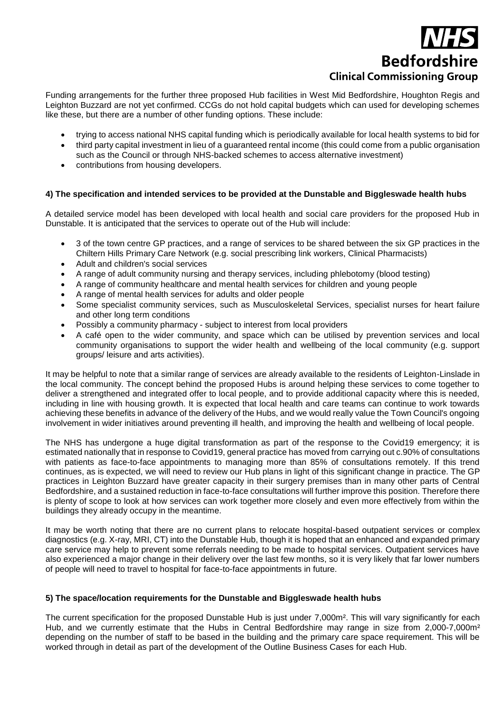# **Bedfordshire Clinical Commissioning Group**

Funding arrangements for the further three proposed Hub facilities in West Mid Bedfordshire, Houghton Regis and Leighton Buzzard are not yet confirmed. CCGs do not hold capital budgets which can used for developing schemes like these, but there are a number of other funding options. These include:

- trying to access national NHS capital funding which is periodically available for local health systems to bid for
- third party capital investment in lieu of a guaranteed rental income (this could come from a public organisation such as the Council or through NHS-backed schemes to access alternative investment)
- contributions from housing developers.

## **4) The specification and intended services to be provided at the Dunstable and Biggleswade health hubs**

A detailed service model has been developed with local health and social care providers for the proposed Hub in Dunstable. It is anticipated that the services to operate out of the Hub will include:

- 3 of the town centre GP practices, and a range of services to be shared between the six GP practices in the Chiltern Hills Primary Care Network (e.g. social prescribing link workers, Clinical Pharmacists)
- Adult and children's social services
- A range of adult community nursing and therapy services, including phlebotomy (blood testing)
- A range of community healthcare and mental health services for children and young people
- A range of mental health services for adults and older people
- Some specialist community services, such as Musculoskeletal Services, specialist nurses for heart failure and other long term conditions
- Possibly a community pharmacy subject to interest from local providers
- A café open to the wider community, and space which can be utilised by prevention services and local community organisations to support the wider health and wellbeing of the local community (e.g. support groups/ leisure and arts activities).

It may be helpful to note that a similar range of services are already available to the residents of Leighton-Linslade in the local community. The concept behind the proposed Hubs is around helping these services to come together to deliver a strengthened and integrated offer to local people, and to provide additional capacity where this is needed, including in line with housing growth. It is expected that local health and care teams can continue to work towards achieving these benefits in advance of the delivery of the Hubs, and we would really value the Town Council's ongoing involvement in wider initiatives around preventing ill health, and improving the health and wellbeing of local people.

The NHS has undergone a huge digital transformation as part of the response to the Covid19 emergency; it is estimated nationally that in response to Covid19, general practice has moved from carrying out c.90% of consultations with patients as face-to-face appointments to managing more than 85% of consultations remotely. If this trend continues, as is expected, we will need to review our Hub plans in light of this significant change in practice. The GP practices in Leighton Buzzard have greater capacity in their surgery premises than in many other parts of Central Bedfordshire, and a sustained reduction in face-to-face consultations will further improve this position. Therefore there is plenty of scope to look at how services can work together more closely and even more effectively from within the buildings they already occupy in the meantime.

It may be worth noting that there are no current plans to relocate hospital-based outpatient services or complex diagnostics (e.g. X-ray, MRI, CT) into the Dunstable Hub, though it is hoped that an enhanced and expanded primary care service may help to prevent some referrals needing to be made to hospital services. Outpatient services have also experienced a major change in their delivery over the last few months, so it is very likely that far lower numbers of people will need to travel to hospital for face-to-face appointments in future.

## **5) The space/location requirements for the Dunstable and Biggleswade health hubs**

The current specification for the proposed Dunstable Hub is just under 7,000m². This will vary significantly for each Hub, and we currently estimate that the Hubs in Central Bedfordshire may range in size from 2,000-7,000m<sup>2</sup> depending on the number of staff to be based in the building and the primary care space requirement. This will be worked through in detail as part of the development of the Outline Business Cases for each Hub.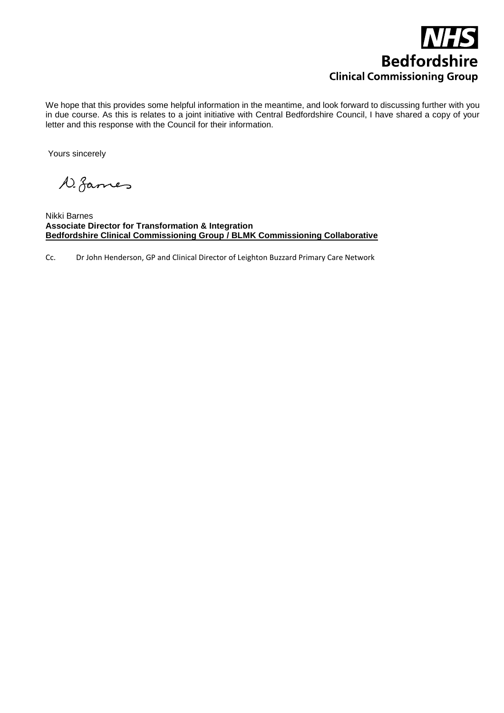

We hope that this provides some helpful information in the meantime, and look forward to discussing further with you in due course. As this is relates to a joint initiative with Central Bedfordshire Council, I have shared a copy of your letter and this response with the Council for their information.

Yours sincerely

D. fames

Nikki Barnes **Associate Director for Transformation & Integration Bedfordshire Clinical Commissioning Group / BLMK Commissioning Collaborative**

Cc. Dr John Henderson, GP and Clinical Director of Leighton Buzzard Primary Care Network